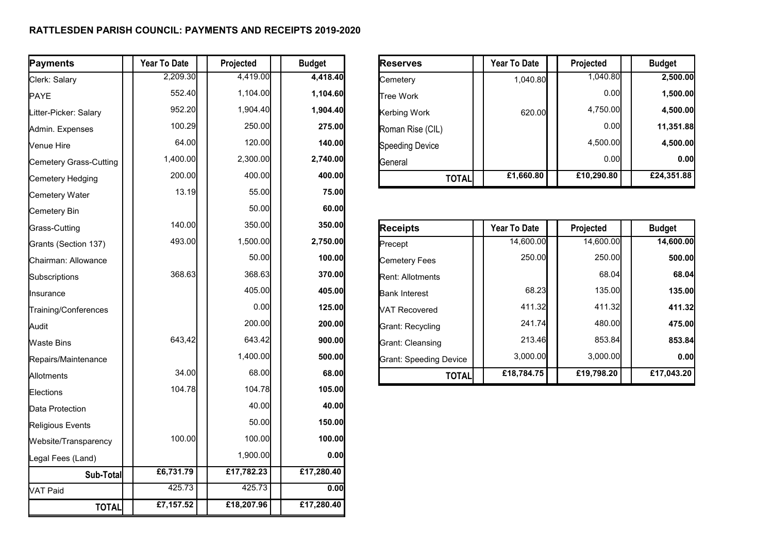## **RATTLESDEN PARISH COUNCIL: PAYMENTS AND RECEIPTS 2019-2020**

| Payments               | Year To Date | Projected  | <b>Budget</b> | <b>Reserves</b>               | Year To Date        | Projected  | <b>Budget</b> |
|------------------------|--------------|------------|---------------|-------------------------------|---------------------|------------|---------------|
| Clerk: Salary          | 2,209.30     | 4,419.00   | 4,418.40      | Cemetery                      | 1,040.80            | 1,040.80   | 2,500.00      |
| PAYE                   | 552.40       | 1,104.00   | 1,104.60      | <b>Tree Work</b>              |                     | 0.00       | 1,500.00      |
| Litter-Picker: Salary  | 952.20       | 1,904.40   | 1,904.40      | Kerbing Work                  | 620.00              | 4,750.00   | 4,500.00      |
| Admin. Expenses        | 100.29       | 250.00     | 275.00        | Roman Rise (CIL)              |                     | 0.00       | 11,351.88     |
| Venue Hire             | 64.00        | 120.00     | 140.00        | <b>Speeding Device</b>        |                     | 4,500.00   | 4,500.00      |
| Cemetery Grass-Cutting | 1,400.00     | 2,300.00   | 2,740.00      | General                       |                     | 0.00       | 0.00          |
| Cemetery Hedging       | 200.00       | 400.00     | 400.00        | <b>TOTAL</b>                  | £1,660.80           | £10,290.80 | £24,351.88    |
| Cemetery Water         | 13.19        | 55.00      | 75.00         |                               |                     |            |               |
| Cemetery Bin           |              | 50.00      | 60.00         |                               |                     |            |               |
| Grass-Cutting          | 140.00       | 350.00     | 350.00        | <b>Receipts</b>               | <b>Year To Date</b> | Projected  | <b>Budget</b> |
| Grants (Section 137)   | 493.00       | 1,500.00   | 2,750.00      | Precept                       | 14,600.00           | 14,600.00  | 14,600.00     |
| Chairman: Allowance    |              | 50.00      | 100.00        | <b>Cemetery Fees</b>          | 250.00              | 250.00     | 500.00        |
| Subscriptions          | 368.63       | 368.63     | 370.00        | Rent: Allotments              |                     | 68.04      | 68.04         |
| Ilnsurance             |              | 405.00     | 405.00        | <b>Bank Interest</b>          | 68.23               | 135.00     | 135.00        |
| Training/Conferences   |              | 0.00       | 125.00        | VAT Recovered                 | 411.32              | 411.32     | 411.32        |
| Audit                  |              | 200.00     | 200.00        | Grant: Recycling              | 241.74              | 480.00     | 475.00        |
| Waste Bins             | 643,42       | 643.42     | 900.00        | Grant: Cleansing              | 213.46              | 853.84     | 853.84        |
| Repairs/Maintenance    |              | 1,400.00   | 500.00        | <b>Grant: Speeding Device</b> | 3,000.00            | 3,000.00   | 0.00          |
| Allotments             | 34.00        | 68.00      | 68.00         | <b>TOTAL</b>                  | £18,784.75          | £19,798.20 | £17,043.20    |
| Elections              | 104.78       | 104.78     | 105.00        |                               |                     |            |               |
| Data Protection        |              | 40.00      | 40.00         |                               |                     |            |               |
| Religious Events       |              | 50.00      | 150.00        |                               |                     |            |               |
| Website/Transparency   | 100.00       | 100.00     | 100.00        |                               |                     |            |               |
| Legal Fees (Land)      |              | 1,900.00   | 0.00          |                               |                     |            |               |
| Sub-Total              | £6,731.79    | £17,782.23 | £17,280.40    |                               |                     |            |               |
| VAT Paid               | 425.73       | 425.73     | 0.00          |                               |                     |            |               |
| <b>TOTAL</b>           | £7,157.52    | £18,207.96 | £17,280.40    |                               |                     |            |               |

| Reserves         | <b>Year To Date</b> | Projected  | <b>Budget</b> |
|------------------|---------------------|------------|---------------|
| Cemetery         | 1,040.80            | 1,040.80   | 2,500.00      |
| lTree Work       |                     | 0.00       | 1,500.00      |
| Kerbing Work     | 620.00              | 4,750.00   | 4,500.00      |
| Roman Rise (CIL) |                     | 0.00       | 11,351.88     |
| Speeding Device  |                     | 4,500.00   | 4,500.00      |
| General          |                     | 0.00       | 0.00          |
| <b>TOTAL</b>     | £1,660.80           | £10,290.80 | £24,351.88    |

| <b>Receipts</b>         | <b>Year To Date</b> | Projected  | <b>Budget</b> |
|-------------------------|---------------------|------------|---------------|
| Precept                 | 14,600.00           | 14,600.00  | 14,600.00     |
| Cemetery Fees           | 250.00              | 250.00     | 500.00        |
| <b>Rent: Allotments</b> |                     | 68.04      | 68.04         |
| <b>Bank Interest</b>    | 68.23               | 135.00     | <b>135,00</b> |
| <b>NAT Recovered</b>    | 411.32              | 411.32     | 411.32        |
| Grant: Recycling        | 241.74              | 480.00     | 475.00        |
| Grant: Cleansing        | 213.46              | 853.84     | 853.84        |
| Grant: Speeding Device  | 3.000.00            | 3.000.00   | 0.00          |
| TOTAL                   | £18,784.75          | £19,798.20 | £17,043.20    |